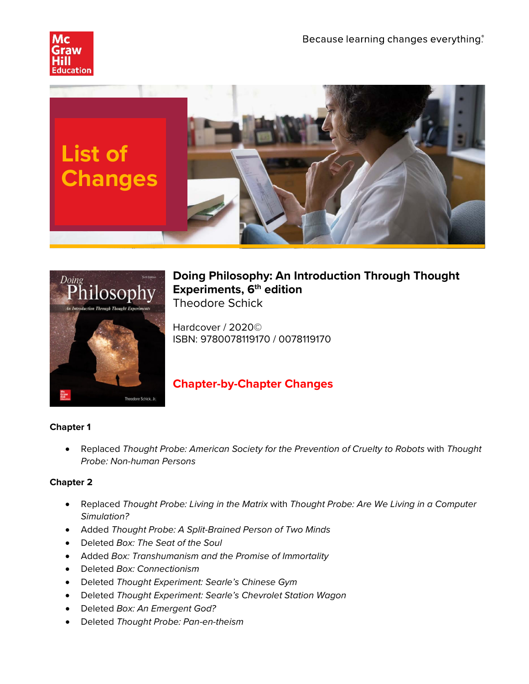





## **Doing Philosophy: An Introduction Through Thought Experiments, 6th edition** Theodore Schick

Hardcover / 2020© ISBN: 9780078119170 / 0078119170

# **Chapter-by-Chapter Changes**

#### **Chapter 1**

• Replaced *Thought Probe: American Society for the Prevention of Cruelty to Robots* with *Thought Probe: Non-human Persons*

#### **Chapter 2**

- Replaced *Thought Probe: Living in the Matrix* with *Thought Probe: Are We Living in a Computer Simulation?*
- Added *Thought Probe: A Split-Brained Person of Two Minds*
- Deleted *Box: The Seat of the Soul*
- Added *Box: Transhumanism and the Promise of Immortality*
- Deleted *Box: Connectionism*
- Deleted *Thought Experiment: Searle's Chinese Gym*
- Deleted *Thought Experiment: Searle's Chevrolet Station Wagon*
- Deleted *Box: An Emergent God?*
- Deleted *Thought Probe: Pan-en-theism*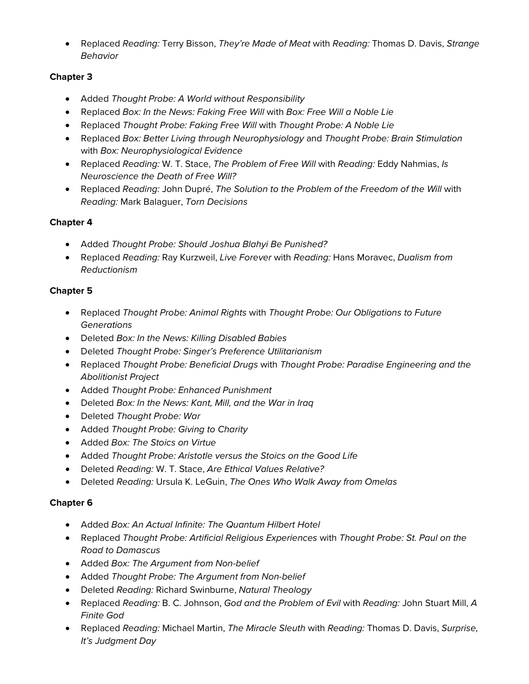• Replaced *Reading:* Terry Bisson, *They're Made of Meat* with *Reading:* Thomas D. Davis, *Strange Behavior*

#### **Chapter 3**

- Added *Thought Probe: A World without Responsibility*
- Replaced *Box: In the News: Faking Free Will* with *Box: Free Will a Noble Lie*
- Replaced *Thought Probe: Faking Free Will* with *Thought Probe: A Noble Lie*
- Replaced *Box: Better Living through Neurophysiology* and *Thought Probe: Brain Stimulation* with *Box: Neurophysiological Evidence*
- Replaced *Reading:* W. T. Stace, *The Problem of Free Will* with *Reading:* Eddy Nahmias, *Is Neuroscience the Death of Free Will?*
- Replaced *Reading:* John Dupré, *The Solution to the Problem of the Freedom of the Will* with *Reading:* Mark Balaguer, *Torn Decisions*

### **Chapter 4**

- Added *Thought Probe: Should Joshua Blahyi Be Punished?*
- Replaced *Reading:* Ray Kurzweil, *Live Forever* with *Reading:* Hans Moravec, *Dualism from Reductionism*

### **Chapter 5**

- Replaced *Thought Probe: Animal Rights* with *Thought Probe: Our Obligations to Future Generations*
- Deleted *Box: In the News: Killing Disabled Babies*
- Deleted *Thought Probe: Singer's Preference Utilitarianism*
- Replaced *Thought Probe: Beneficial Drugs* with *Thought Probe: Paradise Engineering and the Abolitionist Project*
- Added *Thought Probe: Enhanced Punishment*
- Deleted *Box: In the News: Kant, Mill, and the War in Iraq*
- Deleted *Thought Probe: War*
- Added *Thought Probe: Giving to Charity*
- Added *Box: The Stoics on Virtue*
- Added *Thought Probe: Aristotle versus the Stoics on the Good Life*
- Deleted *Reading:* W. T. Stace, *Are Ethical Values Relative?*
- Deleted *Reading:* Ursula K. LeGuin, *The Ones Who Walk Away from Omelas*

#### **Chapter 6**

- Added *Box: An Actual Infinite: The Quantum Hilbert Hotel*
- Replaced *Thought Probe: Artificial Religious Experiences* with *Thought Probe: St. Paul on the Road to Damascus*
- Added *Box: The Argument from Non-belief*
- Added *Thought Probe: The Argument from Non-belief*
- Deleted *Reading:* Richard Swinburne, *Natural Theology*
- Replaced *Reading:* B. C. Johnson, *God and the Problem of Evil* with *Reading:* John Stuart Mill, *A Finite God*
- Replaced *Reading:* Michael Martin, *The Miracle Sleuth* with *Reading:* Thomas D. Davis, *Surprise, It's Judgment Day*